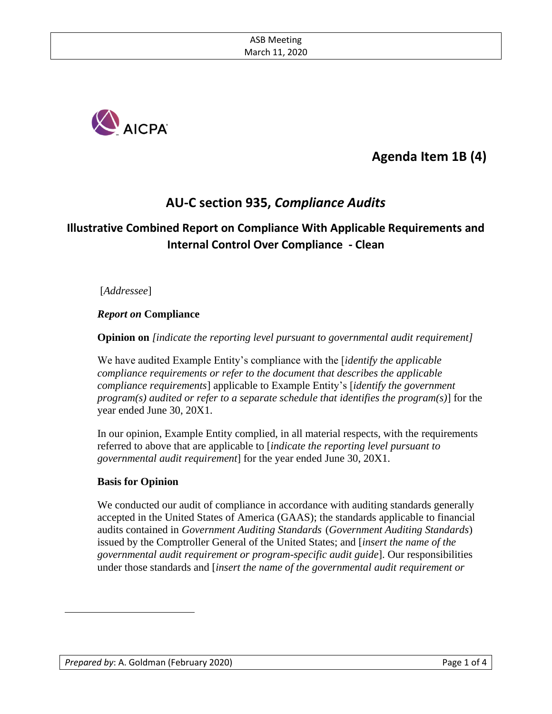| <b>ASB Meeting</b> |  |
|--------------------|--|
| March 11, 2020     |  |



**Agenda Item 1B (4)**

# **AU-C section 935,** *Compliance Audits*

# **Illustrative Combined Report on Compliance With Applicable Requirements and Internal Control Over Compliance - Clean**

[*Addressee*]

## *Report on* **Compliance**

**Opinion on** *[indicate the reporting level pursuant to governmental audit requirement]* 

We have audited Example Entity's compliance with the [*identify the applicable compliance requirements or refer to the document that describes the applicable compliance requirements*] applicable to Example Entity's [*identify the government program(s) audited or refer to a separate schedule that identifies the program(s)*] for the year ended June 30, 20X1.

In our opinion, Example Entity complied, in all material respects, with the requirements referred to above that are applicable to [*indicate the reporting level pursuant to governmental audit requirement*] for the year ended June 30, 20X1.

#### **Basis for Opinion**

We conducted our audit of compliance in accordance with auditing standards generally accepted in the United States of America (GAAS); the standards applicable to financial audits contained in *Government Auditing Standards* (*Government Auditing Standards*) issued by the Comptroller General of the United States; and [*insert the name of the governmental audit requirement or program-specific audit guide*]. Our responsibilities under those standards and [*insert the name of the governmental audit requirement or*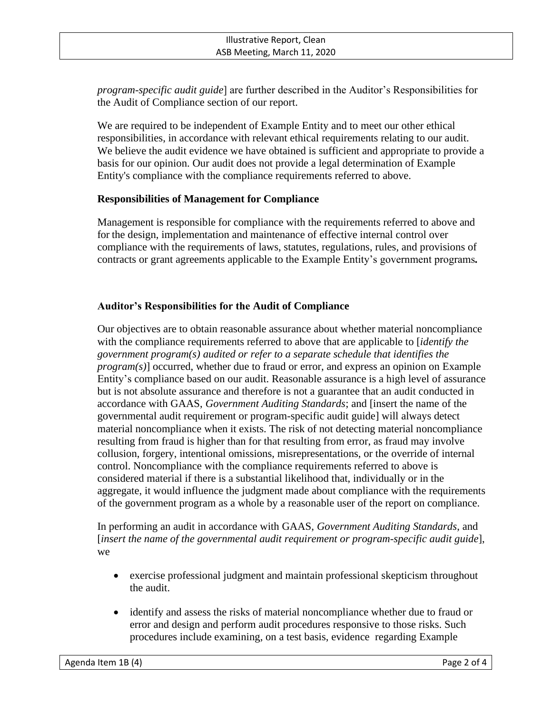*program-specific audit guide*] are further described in the Auditor's Responsibilities for the Audit of Compliance section of our report.

We are required to be independent of Example Entity and to meet our other ethical responsibilities, in accordance with relevant ethical requirements relating to our audit. We believe the audit evidence we have obtained is sufficient and appropriate to provide a basis for our opinion. Our audit does not provide a legal determination of Example Entity's compliance with the compliance requirements referred to above.

## **Responsibilities of Management for Compliance**

Management is responsible for compliance with the requirements referred to above and for the design, implementation and maintenance of effective internal control over compliance with the requirements of laws, statutes, regulations, rules, and provisions of contracts or grant agreements applicable to the Example Entity's government programs*.*

## **Auditor's Responsibilities for the Audit of Compliance**

Our objectives are to obtain reasonable assurance about whether material noncompliance with the compliance requirements referred to above that are applicable to [*identify the government program(s) audited or refer to a separate schedule that identifies the program(s)*] occurred, whether due to fraud or error, and express an opinion on Example Entity's compliance based on our audit. Reasonable assurance is a high level of assurance but is not absolute assurance and therefore is not a guarantee that an audit conducted in accordance with GAAS, *Government Auditing Standards*; and [insert the name of the governmental audit requirement or program-specific audit guide] will always detect material noncompliance when it exists. The risk of not detecting material noncompliance resulting from fraud is higher than for that resulting from error, as fraud may involve collusion, forgery, intentional omissions, misrepresentations, or the override of internal control. Noncompliance with the compliance requirements referred to above is considered material if there is a substantial likelihood that, individually or in the aggregate, it would influence the judgment made about compliance with the requirements of the government program as a whole by a reasonable user of the report on compliance.

In performing an audit in accordance with GAAS, *Government Auditing Standards*, and [*insert the name of the governmental audit requirement or program-specific audit guide*], we

- exercise professional judgment and maintain professional skepticism throughout the audit.
- identify and assess the risks of material noncompliance whether due to fraud or error and design and perform audit procedures responsive to those risks. Such procedures include examining, on a test basis, evidence regarding Example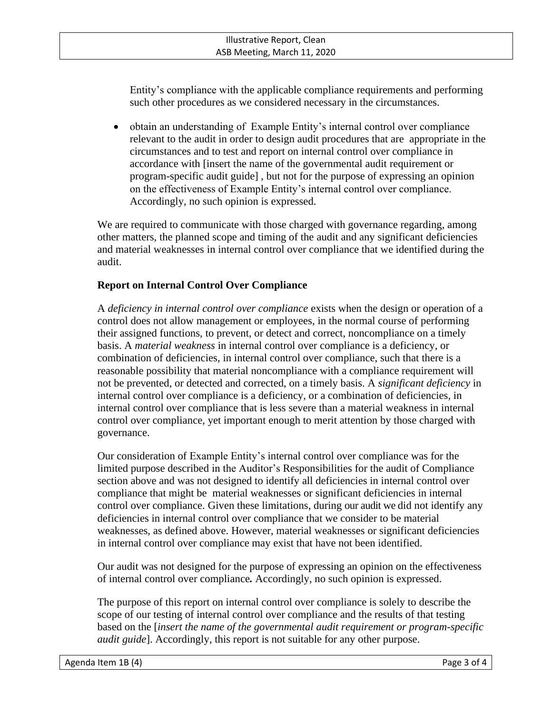Entity's compliance with the applicable compliance requirements and performing such other procedures as we considered necessary in the circumstances.

• obtain an understanding of Example Entity's internal control over compliance relevant to the audit in order to design audit procedures that are appropriate in the circumstances and to test and report on internal control over compliance in accordance with [insert the name of the governmental audit requirement or program-specific audit guide] , but not for the purpose of expressing an opinion on the effectiveness of Example Entity's internal control over compliance. Accordingly, no such opinion is expressed.

We are required to communicate with those charged with governance regarding, among other matters, the planned scope and timing of the audit and any significant deficiencies and material weaknesses in internal control over compliance that we identified during the audit.

# **Report on Internal Control Over Compliance**

A *deficiency in internal control over compliance* exists when the design or operation of a control does not allow management or employees, in the normal course of performing their assigned functions, to prevent, or detect and correct, noncompliance on a timely basis. A *material weakness* in internal control over compliance is a deficiency, or combination of deficiencies, in internal control over compliance, such that there is a reasonable possibility that material noncompliance with a compliance requirement will not be prevented, or detected and corrected, on a timely basis. A *significant deficiency* in internal control over compliance is a deficiency, or a combination of deficiencies, in internal control over compliance that is less severe than a material weakness in internal control over compliance, yet important enough to merit attention by those charged with governance.

Our consideration of Example Entity's internal control over compliance was for the limited purpose described in the Auditor's Responsibilities for the audit of Compliance section above and was not designed to identify all deficiencies in internal control over compliance that might be material weaknesses or significant deficiencies in internal control over compliance. Given these limitations, during our audit we did not identify any deficiencies in internal control over compliance that we consider to be material weaknesses, as defined above. However, material weaknesses or significant deficiencies in internal control over compliance may exist that have not been identified.

Our audit was not designed for the purpose of expressing an opinion on the effectiveness of internal control over compliance*.* Accordingly, no such opinion is expressed.

The purpose of this report on internal control over compliance is solely to describe the scope of our testing of internal control over compliance and the results of that testing based on the [*insert the name of the governmental audit requirement or program-specific audit guide*]. Accordingly, this report is not suitable for any other purpose.